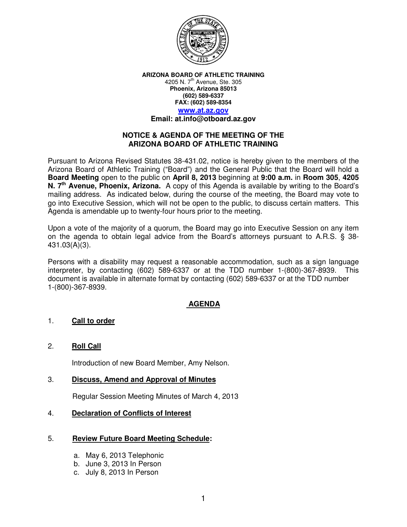

**ARIZONA BOARD OF ATHLETIC TRAINING**  4205 N. 7<sup>th</sup> Avenue, Ste. 305 **Phoenix, Arizona 85013 (602) 589-6337 FAX: (602) 589-8354 www.at.az.gov Email: at.info@otboard.az.gov** 

# **NOTICE & AGENDA OF THE MEETING OF THE ARIZONA BOARD OF ATHLETIC TRAINING**

Pursuant to Arizona Revised Statutes 38-431.02, notice is hereby given to the members of the Arizona Board of Athletic Training ("Board") and the General Public that the Board will hold a **Board Meeting** open to the public on **April 8, 2013** beginning at **9:00 a.m.** in **Room 305**, **4205 N. 7th Avenue, Phoenix, Arizona.** A copy of this Agenda is available by writing to the Board's mailing address. As indicated below, during the course of the meeting, the Board may vote to go into Executive Session, which will not be open to the public, to discuss certain matters. This Agenda is amendable up to twenty-four hours prior to the meeting.

Upon a vote of the majority of a quorum, the Board may go into Executive Session on any item on the agenda to obtain legal advice from the Board's attorneys pursuant to A.R.S. § 38- 431.03(A)(3).

Persons with a disability may request a reasonable accommodation, such as a sign language interpreter, by contacting (602) 589-6337 or at the TDD number 1-(800)-367-8939. This document is available in alternate format by contacting (602) 589-6337 or at the TDD number 1-(800)-367-8939.

# **AGENDA**

### 1. **Call to order**

### 2. **Roll Call**

Introduction of new Board Member, Amy Nelson.

#### 3. **Discuss, Amend and Approval of Minutes**

Regular Session Meeting Minutes of March 4, 2013

#### 4. **Declaration of Conflicts of Interest**

### 5. **Review Future Board Meeting Schedule:**

- a. May 6, 2013 Telephonic
- b. June 3, 2013 In Person
- c. July 8, 2013 In Person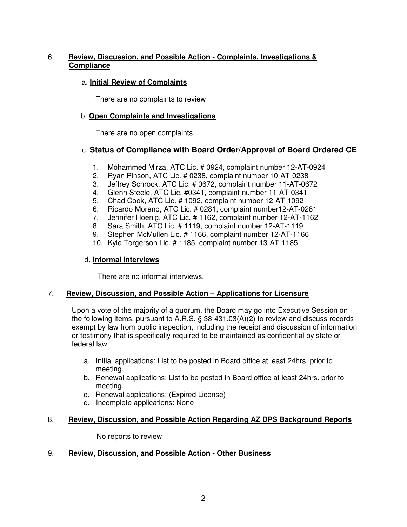# 6. **Review, Discussion, and Possible Action - Complaints, Investigations & Compliance**

### a. **Initial Review of Complaints**

There are no complaints to review

# b. **Open Complaints and Investigations**

There are no open complaints

# c. **Status of Compliance with Board Order/Approval of Board Ordered CE**

- 1. Mohammed Mirza, ATC Lic. # 0924, complaint number 12-AT-0924
- 2. Ryan Pinson, ATC Lic. # 0238, complaint number 10-AT-0238
- 3. Jeffrey Schrock, ATC Lic. # 0672, complaint number 11-AT-0672
- 4. Glenn Steele, ATC Lic. #0341, complaint number 11-AT-0341
- 5. Chad Cook, ATC Lic. # 1092, complaint number 12-AT-1092
- 6. Ricardo Moreno, ATC Lic. # 0281, complaint number12-AT-0281
- 7. Jennifer Hoenig, ATC Lic. # 1162, complaint number 12-AT-1162
- 8. Sara Smith, ATC Lic. # 1119, complaint number 12-AT-1119
- 9. Stephen McMullen Lic. # 1166, complaint number 12-AT-1166
- 10. Kyle Torgerson Lic. # 1185, complaint number 13-AT-1185

#### d. **Informal Interviews**

There are no informal interviews.

### 7. **Review, Discussion, and Possible Action – Applications for Licensure**

Upon a vote of the majority of a quorum, the Board may go into Executive Session on the following items, pursuant to A.R.S. § 38-431.03(A)(2) to review and discuss records exempt by law from public inspection, including the receipt and discussion of information or testimony that is specifically required to be maintained as confidential by state or federal law.

- a. Initial applications: List to be posted in Board office at least 24hrs. prior to meeting.
- b. Renewal applications: List to be posted in Board office at least 24hrs. prior to meeting.
- c. Renewal applications: (Expired License)
- d. Incomplete applications: None

### 8. **Review, Discussion, and Possible Action Regarding AZ DPS Background Reports**

No reports to review

### 9. **Review, Discussion, and Possible Action - Other Business**